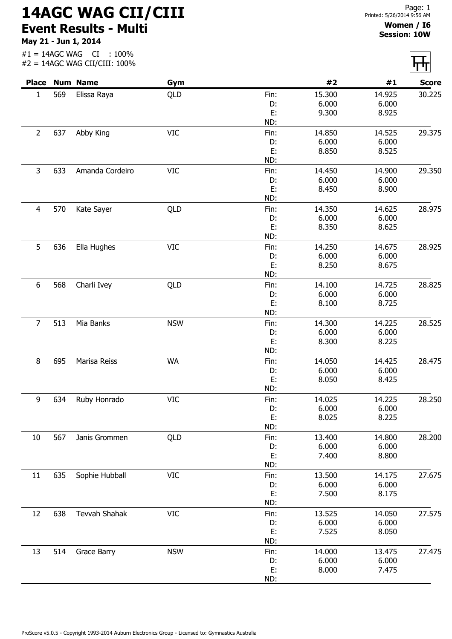## 14AGC WAG CII/CIII Event Results - Multi

May 21 - Jun 1, 2014

## Women / I6 Session: 10W

|                |     | <b>Place Num Name</b> | Gym        |           | #2              | #1              | <b>Score</b> |
|----------------|-----|-----------------------|------------|-----------|-----------------|-----------------|--------------|
| $\mathbf{1}$   | 569 | Elissa Raya           | QLD        | Fin:      | 15.300          | 14.925          | 30.225       |
|                |     |                       |            | D:        | 6.000           | 6.000           |              |
|                |     |                       |            | E:        | 9.300           | 8.925           |              |
|                |     |                       |            | ND:       |                 |                 |              |
| $\overline{2}$ | 637 | Abby King             | <b>VIC</b> | Fin:      | 14.850          | 14.525          | 29.375       |
|                |     |                       |            | D:        | 6.000           | 6.000           |              |
|                |     |                       |            | E:        | 8.850           | 8.525           |              |
|                |     |                       |            | ND:       |                 |                 |              |
| 3              | 633 | Amanda Cordeiro       | <b>VIC</b> | Fin:      | 14.450          | 14.900          | 29.350       |
|                |     |                       |            | D:        | 6.000           | 6.000           |              |
|                |     |                       |            | E:        | 8.450           | 8.900           |              |
|                |     |                       |            | ND:       |                 |                 |              |
| $\overline{4}$ | 570 | Kate Sayer            | QLD        | Fin:      | 14.350          | 14.625          | 28.975       |
|                |     |                       |            | D:        | 6.000           | 6.000           |              |
|                |     |                       |            | E:        | 8.350           | 8.625           |              |
|                |     |                       |            | ND:       |                 |                 |              |
| 5              | 636 | Ella Hughes           | <b>VIC</b> | Fin:      | 14.250          | 14.675          | 28.925       |
|                |     |                       |            | D:        | 6.000           | 6.000           |              |
|                |     |                       |            | E:        | 8.250           | 8.675           |              |
|                |     |                       |            | ND:       |                 |                 |              |
| 6              | 568 | Charli Ivey           | QLD        | Fin:      | 14.100          | 14.725          | 28.825       |
|                |     |                       |            | D:        | 6.000           | 6.000           |              |
|                |     |                       |            | E:        | 8.100           | 8.725           |              |
|                |     |                       |            | ND:       |                 |                 |              |
| $\overline{7}$ | 513 | Mia Banks             | <b>NSW</b> | Fin:      | 14.300          | 14.225          | 28.525       |
|                |     |                       |            | D:        | 6.000           | 6.000           |              |
|                |     |                       |            | E:        | 8.300           | 8.225           |              |
|                |     |                       |            | ND:       |                 |                 |              |
| 8              | 695 | Marisa Reiss          | <b>WA</b>  | Fin:      | 14.050          | 14.425          | 28.475       |
|                |     |                       |            | D:        | 6.000           | 6.000           |              |
|                |     |                       |            | E:        | 8.050           | 8.425           |              |
|                |     |                       |            | ND:       |                 |                 |              |
|                | 634 | Ruby Honrado          | <b>VIC</b> | Fin:      |                 |                 | 28.250       |
| 9              |     |                       |            | D:        | 14.025<br>6.000 | 14.225<br>6.000 |              |
|                |     |                       |            | E:        | 8.025           | 8.225           |              |
|                |     |                       |            | ND:       |                 |                 |              |
|                |     |                       |            |           |                 |                 | 28.200       |
| 10             | 567 | Janis Grommen         | QLD        | Fin:      | 13.400          | 14.800          |              |
|                |     |                       |            | D:        | 6.000<br>7.400  | 6.000           |              |
|                |     |                       |            | E:<br>ND: |                 | 8.800           |              |
|                |     |                       |            |           |                 |                 |              |
| 11             | 635 | Sophie Hubball        | <b>VIC</b> | Fin:      | 13.500          | 14.175          | 27.675       |
|                |     |                       |            | D:        | 6.000           | 6.000           |              |
|                |     |                       |            | E:        | 7.500           | 8.175           |              |
|                |     |                       |            | ND:       |                 |                 |              |
| 12             | 638 | Tevvah Shahak         | <b>VIC</b> | Fin:      | 13.525          | 14.050          | 27.575       |
|                |     |                       |            | D:        | 6.000           | 6.000           |              |
|                |     |                       |            | E:        | 7.525           | 8.050           |              |
|                |     |                       |            | ND:       |                 |                 |              |
| 13             | 514 | Grace Barry           | <b>NSW</b> | Fin:      | 14.000          | 13.475          | 27.475       |
|                |     |                       |            | D:        | 6.000           | 6.000           |              |
|                |     |                       |            | E:        | 8.000           | 7.475           |              |
|                |     |                       |            | ND:       |                 |                 |              |